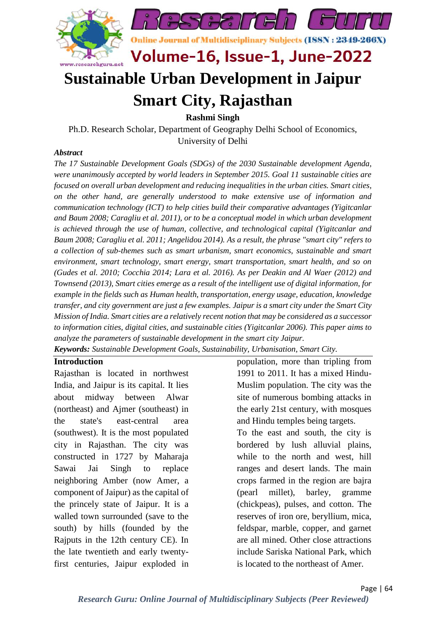

# **Sustainable Urban Development in Jaipur Smart City, Rajasthan**

**Rashmi Singh**

Ph.D. Research Scholar, Department of Geography Delhi School of Economics, University of Delhi

#### *Abstract*

*The 17 Sustainable Development Goals (SDGs) of the 2030 Sustainable development Agenda, were unanimously accepted by world leaders in September 2015. Goal 11 sustainable cities are focused on overall urban development and reducing inequalities in the urban cities. Smart cities, on the other hand, are generally understood to make extensive use of information and communication technology (ICT) to help cities build their comparative advantages (Yigitcanlar and Baum 2008; Caragliu et al. 2011), or to be a conceptual model in which urban development is achieved through the use of human, collective, and technological capital (Yigitcanlar and Baum 2008; Caragliu et al. 2011; Angelidou 2014). As a result, the phrase "smart city" refers to a collection of sub-themes such as smart urbanism, smart economics, sustainable and smart environment, smart technology, smart energy, smart transportation, smart health, and so on (Gudes et al. 2010; Cocchia 2014; Lara et al. 2016). As per Deakin and Al Waer (2012) and Townsend (2013), Smart cities emerge as a result of the intelligent use of digital information, for example in the fields such as Human health, transportation, energy usage, education, knowledge transfer, and city government are just a few examples. Jaipur is a smart city under the Smart City Mission of India. Smart cities are a relatively recent notion that may be considered as a successor to information cities, digital cities, and sustainable cities (Yigitcanlar 2006). This paper aims to analyze the parameters of sustainable development in the smart city Jaipur.*

*Keywords: Sustainable Development Goals, Sustainability, Urbanisation, Smart City.*

#### **Introduction**

Rajasthan is located in northwest India, and Jaipur is its capital. It lies about midway between Alwar (northeast) and Ajmer (southeast) in the state's east-central area (southwest). It is the most populated city in Rajasthan. The city was constructed in 1727 by Maharaja Sawai Jai Singh to replace neighboring Amber (now Amer, a component of Jaipur) as the capital of the princely state of Jaipur. It is a walled town surrounded (save to the south) by hills (founded by the Rajputs in the 12th century CE). In the late twentieth and early twentyfirst centuries, Jaipur exploded in

population, more than tripling from 1991 to 2011. It has a mixed Hindu-Muslim population. The city was the site of numerous bombing attacks in the early 21st century, with mosques and Hindu temples being targets.

To the east and south, the city is bordered by lush alluvial plains, while to the north and west, hill ranges and desert lands. The main crops farmed in the region are bajra (pearl millet), barley, gramme (chickpeas), pulses, and cotton. The reserves of iron ore, beryllium, mica, feldspar, marble, copper, and garnet are all mined. Other close attractions include Sariska National Park, which is located to the northeast of Amer.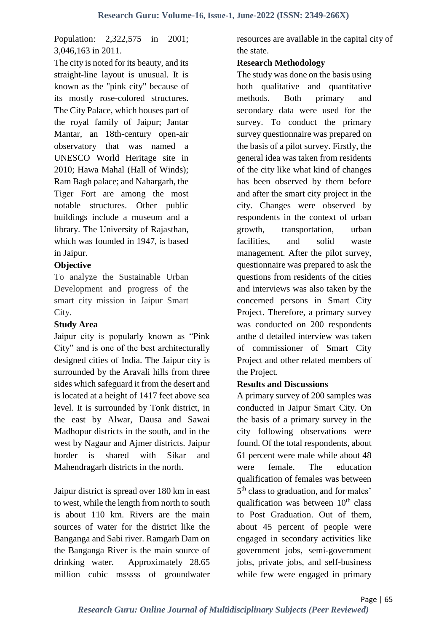# Population: 2,322,575 in 2001; 3,046,163 in 2011.

The city is noted for its beauty, and its straight-line layout is unusual. It is known as the "pink city" because of its mostly rose-colored structures. The City Palace, which houses part of the royal family of Jaipur; Jantar Mantar, an 18th-century open-air observatory that was named a UNESCO World Heritage site in 2010; Hawa Mahal (Hall of Winds); Ram Bagh palace; and Nahargarh, the Tiger Fort are among the most notable structures. Other public buildings include a museum and a library. The University of Rajasthan, which was founded in 1947, is based in Jaipur.

### **Objective**

To analyze the Sustainable Urban Development and progress of the smart city mission in Jaipur Smart City.

# **Study Area**

Jaipur city is popularly known as "Pink City" and is one of the best architecturally designed cities of India. The Jaipur city is surrounded by the Aravali hills from three sides which safeguard it from the desert and is located at a height of 1417 feet above sea level. It is surrounded by Tonk district, in the east by Alwar, Dausa and Sawai Madhopur districts in the south, and in the west by Nagaur and Ajmer districts. Jaipur border is shared with Sikar and Mahendragarh districts in the north.

Jaipur district is spread over 180 km in east to west, while the length from north to south is about 110 km. Rivers are the main sources of water for the district like the Banganga and Sabi river. Ramgarh Dam on the Banganga River is the main source of drinking water. Approximately 28.65 million cubic msssss of groundwater resources are available in the capital city of the state.

#### **Research Methodology**

The study was done on the basis using both qualitative and quantitative methods. Both primary and secondary data were used for the survey. To conduct the primary survey questionnaire was prepared on the basis of a pilot survey. Firstly, the general idea was taken from residents of the city like what kind of changes has been observed by them before and after the smart city project in the city. Changes were observed by respondents in the context of urban growth, transportation, urban facilities, and solid waste management. After the pilot survey, questionnaire was prepared to ask the questions from residents of the cities and interviews was also taken by the concerned persons in Smart City Project. Therefore, a primary survey was conducted on 200 respondents anthe d detailed interview was taken of commissioner of Smart City Project and other related members of the Project.

# **Results and Discussions**

A primary survey of 200 samples was conducted in Jaipur Smart City. On the basis of a primary survey in the city following observations were found. Of the total respondents, about 61 percent were male while about 48 were female. The education qualification of females was between 5<sup>th</sup> class to graduation, and for males' qualification was between  $10<sup>th</sup>$  class to Post Graduation. Out of them, about 45 percent of people were engaged in secondary activities like government jobs, semi-government jobs, private jobs, and self-business while few were engaged in primary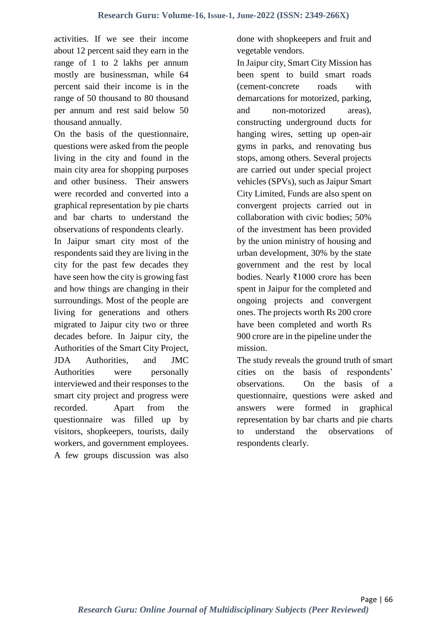activities. If we see their income about 12 percent said they earn in the range of 1 to 2 lakhs per annum mostly are businessman, while 64 percent said their income is in the range of 50 thousand to 80 thousand per annum and rest said below 50 thousand annually.

On the basis of the questionnaire, questions were asked from the people living in the city and found in the main city area for shopping purposes and other business. Their answers were recorded and converted into a graphical representation by pie charts and bar charts to understand the observations of respondents clearly.

In Jaipur smart city most of the respondents said they are living in the city for the past few decades they have seen how the city is growing fast and how things are changing in their surroundings. Most of the people are living for generations and others migrated to Jaipur city two or three decades before. In Jaipur city, the Authorities of the Smart City Project, JDA Authorities, and JMC Authorities were personally interviewed and their responses to the smart city project and progress were recorded. Apart from the questionnaire was filled up by visitors, shopkeepers, tourists, daily workers, and government employees. A few groups discussion was also

done with shopkeepers and fruit and vegetable vendors.

In Jaipur city, Smart City Mission has been spent to build smart roads (cement-concrete roads with demarcations for motorized, parking, and non-motorized areas), constructing underground ducts for hanging wires, setting up open-air gyms in parks, and renovating bus stops, among others. Several projects are carried out under special project vehicles (SPVs), such as Jaipur Smart City Limited, Funds are also spent on convergent projects carried out in collaboration with civic bodies; 50% of the investment has been provided by the union ministry of housing and urban development, 30% by the state government and the rest by local bodies. Nearly ₹1000 crore has been spent in Jaipur for the completed and ongoing projects and convergent ones. The projects worth Rs 200 crore have been completed and worth Rs 900 crore are in the pipeline under the mission.

The study reveals the ground truth of smart cities on the basis of respondents' observations. On the basis of a questionnaire, questions were asked and answers were formed in graphical representation by bar charts and pie charts to understand the observations respondents clearly.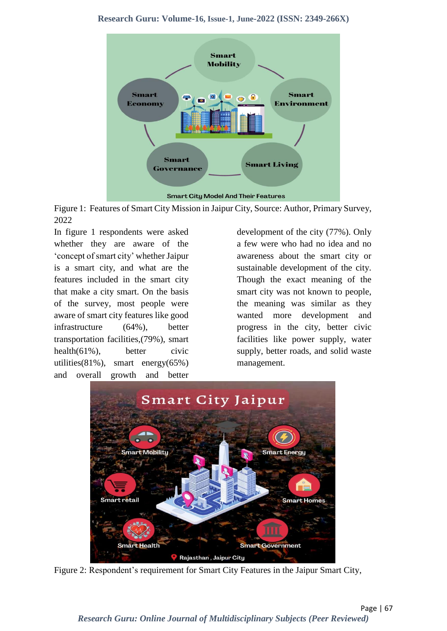

Figure 1: Features of Smart City Mission in Jaipur City, Source: Author, Primary Survey, 2022

In figure 1 respondents were asked whether they are aware of the 'concept of smart city' whetherJaipur is a smart city, and what are the features included in the smart city that make a city smart. On the basis of the survey, most people were aware of smart city features like good infrastructure (64%), better transportation facilities,(79%), smart health $(61\%)$ , better civic utilities(81%), smart energy(65%) and overall growth and better

development of the city (77%). Only a few were who had no idea and no awareness about the smart city or sustainable development of the city. Though the exact meaning of the smart city was not known to people, the meaning was similar as they wanted more development and progress in the city, better civic facilities like power supply, water supply, better roads, and solid waste management.



Figure 2: Respondent's requirement for Smart City Features in the Jaipur Smart City,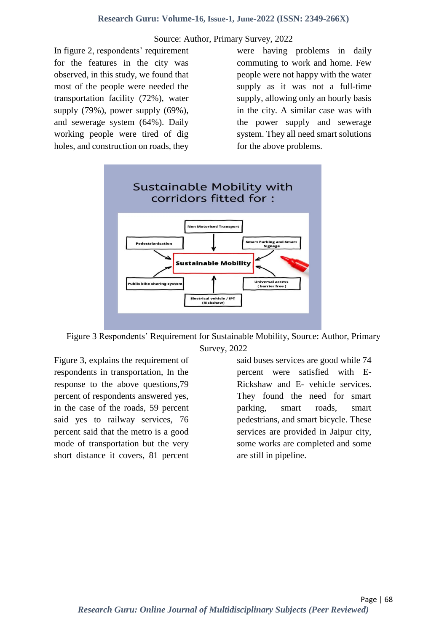#### Source: Author, Primary Survey, 2022

In figure 2, respondents' requirement for the features in the city was observed, in this study, we found that most of the people were needed the transportation facility (72%), water supply (79%), power supply (69%), and sewerage system (64%). Daily working people were tired of dig holes, and construction on roads, they were having problems in daily commuting to work and home. Few people were not happy with the water supply as it was not a full-time supply, allowing only an hourly basis in the city. A similar case was with the power supply and sewerage system. They all need smart solutions for the above problems.



Figure 3 Respondents' Requirement for Sustainable Mobility, Source: Author, Primary Survey, 2022

Figure 3, explains the requirement of respondents in transportation, In the response to the above questions,79 percent of respondents answered yes, in the case of the roads, 59 percent said yes to railway services, 76 percent said that the metro is a good mode of transportation but the very short distance it covers, 81 percent said buses services are good while 74 percent were satisfied with E-Rickshaw and E- vehicle services. They found the need for smart parking, smart roads, smart pedestrians, and smart bicycle. These services are provided in Jaipur city, some works are completed and some are still in pipeline.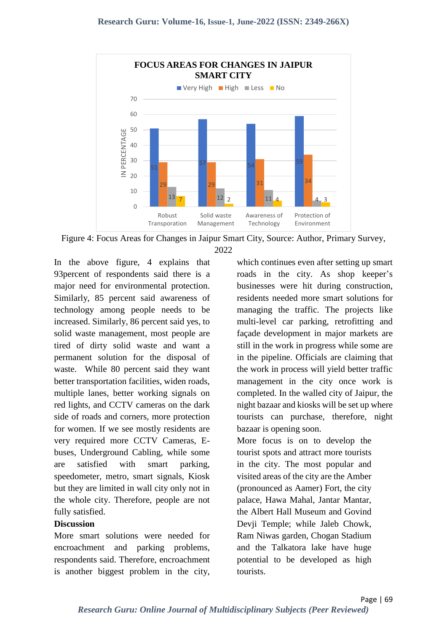

Figure 4: Focus Areas for Changes in Jaipur Smart City, Source: Author, Primary Survey,

2022

In the above figure, 4 explains that 93percent of respondents said there is a major need for environmental protection. Similarly, 85 percent said awareness of technology among people needs to be increased. Similarly, 86 percent said yes, to solid waste management, most people are tired of dirty solid waste and want a permanent solution for the disposal of waste. While 80 percent said they want better transportation facilities, widen roads, multiple lanes, better working signals on red lights, and CCTV cameras on the dark side of roads and corners, more protection for women. If we see mostly residents are very required more CCTV Cameras, Ebuses, Underground Cabling, while some are satisfied with smart parking, speedometer, metro, smart signals, Kiosk but they are limited in wall city only not in the whole city. Therefore, people are not fully satisfied.

#### **Discussion**

More smart solutions were needed for encroachment and parking problems, respondents said. Therefore, encroachment is another biggest problem in the city,

which continues even after setting up smart roads in the city. As shop keeper's businesses were hit during construction, residents needed more smart solutions for managing the traffic. The projects like multi-level car parking, retrofitting and façade development in major markets are still in the work in progress while some are in the pipeline. Officials are claiming that the work in process will yield better traffic management in the city once work is completed. In the walled city of Jaipur, the night bazaar and kiosks will be set up where tourists can purchase, therefore, night bazaar is opening soon.

More focus is on to develop the tourist spots and attract more tourists in the city. The most popular and visited areas of the city are the Amber (pronounced as Aamer) Fort, the city palace, Hawa Mahal, Jantar Mantar, the Albert Hall Museum and Govind Devji Temple; while Jaleb Chowk, Ram Niwas garden, Chogan Stadium and the Talkatora lake have huge potential to be developed as high tourists.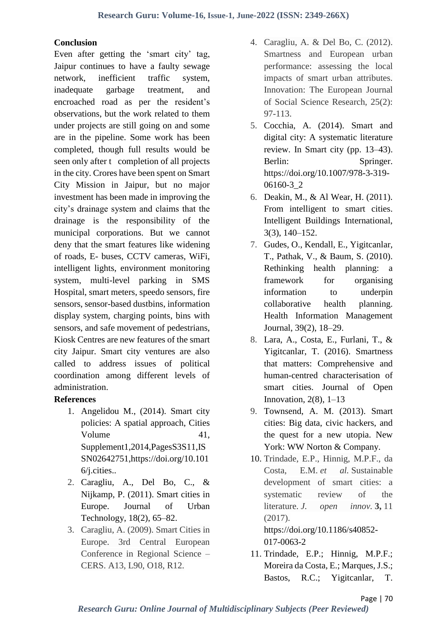#### **Conclusion**

Even after getting the 'smart city' tag, Jaipur continues to have a faulty sewage network, inefficient traffic system, inadequate garbage treatment, and encroached road as per the resident's observations, but the work related to them under projects are still going on and some are in the pipeline. Some work has been completed, though full results would be seen only after t completion of all projects in the city. Crores have been spent on Smart City Mission in Jaipur, but no major investment has been made in improving the city's drainage system and claims that the drainage is the responsibility of the municipal corporations. But we cannot deny that the smart features like widening of roads, E- buses, CCTV cameras, WiFi, intelligent lights, environment monitoring system, multi-level parking in SMS Hospital, smart meters, speedo sensors, fire sensors, sensor-based dustbins, information display system, charging points, bins with sensors, and safe movement of pedestrians, Kiosk Centres are new features of the smart city Jaipur. Smart city ventures are also called to address issues of political coordination among different levels of administration.

# **References**

- 1. Angelidou M., (2014). Smart city policies: A spatial approach, Cities Volume 41, Supplement1,2014,PagesS3S11,IS SN02642751,https://doi.org/10.101 6/j.cities..
- 2. Caragliu, A., Del Bo, C., & Nijkamp, P. (2011). Smart cities in Europe. Journal of Urban Technology, 18(2), 65–82.
- 3. Caragliu, A. (2009). Smart Cities in Europe. 3rd Central European Conference in Regional Science – CERS. A13, L90, O18, R12.
- 4. Caragliu, A. & Del Bo, C. (2012). Smartness and European urban performance: assessing the local impacts of smart urban attributes. Innovation: The European Journal of Social Science Research, 25(2): 97-113.
- 5. Cocchia, A. (2014). Smart and digital city: A systematic literature review. In Smart city (pp. 13–43). Berlin: Springer. https://doi.org/10.1007/978-3-319- 06160-3\_2
- 6. Deakin, M., & Al Wear, H. (2011). From intelligent to smart cities. Intelligent Buildings International, 3(3), 140–152.
- 7. Gudes, O., Kendall, E., Yigitcanlar, T., Pathak, V., & Baum, S. (2010). Rethinking health planning: a framework for organising information to underpin collaborative health planning. Health Information Management Journal, 39(2), 18–29.
- 8. Lara, A., Costa, E., Furlani, T., & Yigitcanlar, T. (2016). Smartness that matters: Comprehensive and human-centred characterisation of smart cities. Journal of Open Innovation,  $2(8)$ ,  $1-13$
- 9. Townsend, A. M. (2013). Smart cities: Big data, civic hackers, and the quest for a new utopia. New York: WW Norton & Company.
- 10. Trindade, E.P., Hinnig, M.P.F., da Costa, E.M. *et al.* Sustainable development of smart cities: a systematic review of the literature. *J. open innov.* **3,** 11 (2017).

[https://doi.org/10.1186/s40852-](https://doi.org/10.1186/s40852-017-0063-2) [017-0063-2](https://doi.org/10.1186/s40852-017-0063-2)

11. Trindade, E.P.; Hinnig, M.P.F.; Moreira da Costa, E.; Marques, J.S.; Bastos, R.C.; Yigitcanlar, T.